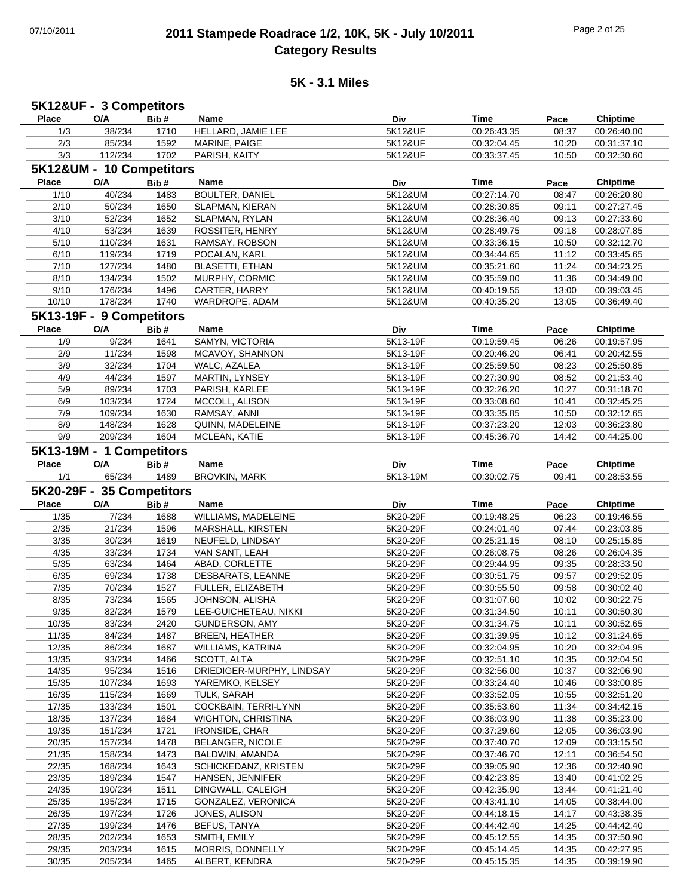### 07/10/2011 **2011 Stampede Roadrace 1/2, 10K, 5K - July 10/2011** Page 2 of 25 **Category Results**

| 5K12&UF - 3 Competitors |                           |              |                                    |                      |                            |                |                                           |
|-------------------------|---------------------------|--------------|------------------------------------|----------------------|----------------------------|----------------|-------------------------------------------|
| <b>Place</b>            | O/A                       | Bib#         | Name                               | Div                  | <b>Time</b>                | Pace           | <b>Chiptime</b>                           |
| 1/3                     | 38/234                    | 1710         | HELLARD, JAMIE LEE                 | 5K12&UF              | 00:26:43.35                | 08:37          | 00:26:40.00                               |
| 2/3                     | 85/234                    | 1592         | MARINE, PAIGE                      | 5K12&UF              | 00:32:04.45                | 10:20          | 00:31:37.10                               |
| 3/3                     | 112/234                   | 1702         | PARISH, KAITY                      | 5K12&UF              | 00:33:37.45                | 10:50          | 00:32:30.60                               |
|                         |                           |              |                                    |                      |                            |                |                                           |
|                         | 5K12&UM - 10 Competitors  |              |                                    |                      |                            |                |                                           |
| <b>Place</b>            | O/A                       | Bib#         | Name                               | Div                  | Time                       | Pace           | <b>Chiptime</b>                           |
| 1/10                    | 40/234                    | 1483         | <b>BOULTER, DANIEL</b>             | 5K12&UM              | 00:27:14.70                | 08:47          | 00:26:20.80                               |
| 2/10                    | 50/234                    | 1650         | SLAPMAN, KIERAN                    | 5K12&UM              | 00:28:30.85                | 09:11          | 00:27:27.45                               |
| 3/10                    | 52/234                    | 1652         | SLAPMAN, RYLAN                     | 5K12&UM              | 00:28:36.40                | 09:13          | 00:27:33.60                               |
| 4/10                    | 53/234                    | 1639         | ROSSITER, HENRY                    | 5K12&UM              | 00:28:49.75                | 09:18          | 00:28:07.85                               |
| 5/10                    | 110/234                   | 1631         | RAMSAY, ROBSON                     | 5K12&UM              | 00:33:36.15                | 10:50          | 00:32:12.70                               |
| 6/10                    | 119/234                   | 1719         | POCALAN, KARL                      | 5K12&UM              | 00:34:44.65                | 11:12          | 00:33:45.65                               |
| 7/10                    | 127/234                   | 1480         | <b>BLASETTI, ETHAN</b>             | 5K12&UM              | 00:35:21.60                | 11:24          | 00:34:23.25                               |
| 8/10                    | 134/234                   | 1502         | MURPHY, CORMIC                     | 5K12&UM              | 00:35:59.00                | 11:36          | 00:34:49.00                               |
| 9/10                    | 176/234                   | 1496         | CARTER, HARRY                      | 5K12&UM              | 00:40:19.55                | 13:00          | 00:39:03.45                               |
| 10/10                   | 178/234                   | 1740         | WARDROPE, ADAM                     | 5K12&UM              | 00:40:35.20                | 13:05          | 00:36:49.40                               |
|                         |                           |              |                                    |                      |                            |                |                                           |
|                         | 5K13-19F - 9 Competitors  |              |                                    |                      |                            |                |                                           |
| <b>Place</b>            | O/A                       | Bib#         | Name                               | Div                  | <b>Time</b>                | Pace           | <b>Chiptime</b>                           |
| 1/9                     | 9/234                     | 1641         | SAMYN, VICTORIA                    | 5K13-19F             | 00:19:59.45                | 06:26          | 00:19:57.95                               |
| 2/9                     | 11/234                    | 1598         | MCAVOY, SHANNON                    | 5K13-19F             | 00:20:46.20                | 06:41          | 00:20:42.55                               |
| 3/9                     | 32/234                    | 1704         | WALC, AZALEA                       | 5K13-19F             | 00:25:59.50                | 08:23          | 00:25:50.85                               |
| 4/9                     | 44/234                    | 1597         | <b>MARTIN, LYNSEY</b>              | 5K13-19F             | 00:27:30.90                | 08:52          | 00:21:53.40                               |
| 5/9                     | 89/234                    | 1703         | PARISH, KARLEE                     | 5K13-19F             | 00:32:26.20                | 10:27          | 00:31:18.70                               |
| 6/9                     | 103/234                   | 1724         | MCCOLL, ALISON                     | 5K13-19F             | 00:33:08.60                | 10:41          | 00:32:45.25                               |
| 7/9                     | 109/234                   | 1630         | RAMSAY, ANNI                       | 5K13-19F             | 00:33:35.85                | 10:50          | 00:32:12.65                               |
| 8/9                     | 148/234                   | 1628         | QUINN, MADELEINE                   | 5K13-19F             | 00:37:23.20                | 12:03          | 00:36:23.80                               |
| 9/9                     | 209/234                   | 1604         | MCLEAN, KATIE                      | 5K13-19F             | 00:45:36.70                | 14:42          | 00:44:25.00                               |
|                         |                           |              |                                    |                      |                            |                |                                           |
|                         | 5K13-19M - 1 Competitors  |              |                                    |                      |                            |                |                                           |
| <b>Place</b>            | O/A                       | Bib#         | Name                               | Div                  | Time                       | Pace           | <b>Chiptime</b>                           |
| 1/1                     | 65/234                    | 1489         | <b>BROVKIN, MARK</b>               | 5K13-19M             | 00:30:02.75                | 09:41          | 00:28:53.55                               |
|                         | 5K20-29F - 35 Competitors |              |                                    |                      |                            |                |                                           |
| <b>Place</b>            | O/A                       | Bib#         | Name                               | Div                  | <b>Time</b>                | Pace           | <b>Chiptime</b>                           |
| 1/35                    | 7/234                     | 1688         | WILLIAMS, MADELEINE                | 5K20-29F             | 00:19:48.25                | 06:23          | 00:19:46.55                               |
| 2/35                    | 21/234                    | 1596         | MARSHALL, KIRSTEN                  | 5K20-29F             | 00:24:01.40                | 07:44          | 00:23:03.85                               |
| 3/35                    |                           |              |                                    |                      |                            |                | 00:25:15.85                               |
|                         |                           |              |                                    |                      |                            |                |                                           |
|                         | 30/234                    | 1619         | NEUFELD, LINDSAY                   | 5K20-29F             | 00:25:21.15                | 08:10          |                                           |
| 4/35                    | 33/234                    | 1734         | VAN SANT, LEAH                     | 5K20-29F             | 00:26:08.75                | 08:26          | 00:26:04.35                               |
| 5/35                    | 63/234                    | 1464         | ABAD, CORLETTE                     | 5K20-29F             | 00:29:44.95                | 09:35          | 00:28:33.50                               |
| 6/35                    | 69/234                    | 1738         | DESBARATS, LEANNE                  | 5K20-29F             | 00:30:51.75                | 09:57          | 00:29:52.05                               |
| 7/35                    | 70/234                    | 1527         | FULLER, ELIZABETH                  | 5K20-29F             | 00:30:55.50                | 09:58          | 00:30:02.40                               |
| 8/35                    | 73/234                    | 1565         | JOHNSON, ALISHA                    | 5K20-29F             | 00:31:07.60                | 10:02          | 00:30:22.75                               |
| 9/35                    | 82/234                    | 1579         | LEE-GUICHETEAU, NIKKI              | 5K20-29F             | 00:31:34.50                | 10:11          | 00:30:50.30                               |
| 10/35                   | 83/234                    | 2420         | GUNDERSON, AMY                     | 5K20-29F             | 00:31:34.75                | 10:11          | 00:30:52.65                               |
| 11/35                   | 84/234                    | 1487         | <b>BREEN, HEATHER</b>              | 5K20-29F             | 00:31:39.95                | 10:12          | 00:31:24.65                               |
| 12/35                   | 86/234                    | 1687         | WILLIAMS, KATRINA                  | 5K20-29F             | 00:32:04.95                | 10:20          | 00:32:04.95                               |
| 13/35                   | 93/234                    | 1466         | SCOTT, ALTA                        | 5K20-29F             | 00:32:51.10                | 10:35          | 00:32:04.50                               |
| 14/35                   | 95/234                    | 1516         | DRIEDIGER-MURPHY, LINDSAY          | 5K20-29F             | 00:32:56.00                | 10:37          | 00:32:06.90                               |
|                         |                           |              |                                    | 5K20-29F             |                            |                |                                           |
| 15/35                   | 107/234                   | 1693         | YAREMKO, KELSEY                    |                      | 00:33:24.40                | 10:46          | 00:33:00.85                               |
| 16/35                   | 115/234                   | 1669         | TULK, SARAH                        | 5K20-29F             | 00:33:52.05                | 10:55          | 00:32:51.20                               |
| 17/35                   | 133/234                   | 1501         | COCKBAIN, TERRI-LYNN               | 5K20-29F             | 00:35:53.60                | 11:34          | 00:34:42.15                               |
| 18/35                   | 137/234                   | 1684         | WIGHTON, CHRISTINA                 | 5K20-29F             | 00:36:03.90                | 11:38          |                                           |
| 19/35                   | 151/234                   | 1721         | <b>IRONSIDE, CHAR</b>              | 5K20-29F             | 00:37:29.60                | 12:05          | 00:36:03.90                               |
| 20/35                   | 157/234                   | 1478         | <b>BELANGER, NICOLE</b>            | 5K20-29F             | 00:37:40.70                | 12:09          |                                           |
| 21/35                   | 158/234                   | 1473         | BALDWIN, AMANDA                    | 5K20-29F             | 00:37:46.70                | 12:11          | 00:35:23.00<br>00:33:15.50<br>00:36:54.50 |
| 22/35                   | 168/234                   | 1643         | SCHICKEDANZ, KRISTEN               | 5K20-29F             | 00:39:05.90                | 12:36          | 00:32:40.90                               |
| 23/35                   | 189/234                   | 1547         | HANSEN, JENNIFER                   | 5K20-29F             | 00:42:23.85                | 13:40          | 00:41:02.25                               |
| 24/35                   | 190/234                   | 1511         | DINGWALL, CALEIGH                  | 5K20-29F             | 00:42:35.90                | 13:44          | 00:41:21.40                               |
| 25/35                   | 195/234                   | 1715         | GONZALEZ, VERONICA                 | 5K20-29F             | 00:43:41.10                | 14:05          | 00:38:44.00                               |
| 26/35                   | 197/234                   | 1726         | JONES, ALISON                      | 5K20-29F             | 00:44:18.15                | 14:17          | 00:43:38.35                               |
| 27/35                   |                           | 1476         | BEFUS, TANYA                       | 5K20-29F             | 00:44:42.40                | 14:25          | 00:44:42.40                               |
| 28/35                   | 199/234<br>202/234        | 1653         | SMITH, EMILY                       | 5K20-29F             | 00:45:12.55                | 14:35          | 00:37:50.90                               |
|                         |                           |              |                                    |                      |                            |                |                                           |
| 29/35<br>30/35          | 203/234<br>205/234        | 1615<br>1465 | MORRIS, DONNELLY<br>ALBERT, KENDRA | 5K20-29F<br>5K20-29F | 00:45:14.45<br>00:45:15.35 | 14:35<br>14:35 | 00:42:27.95<br>00:39:19.90                |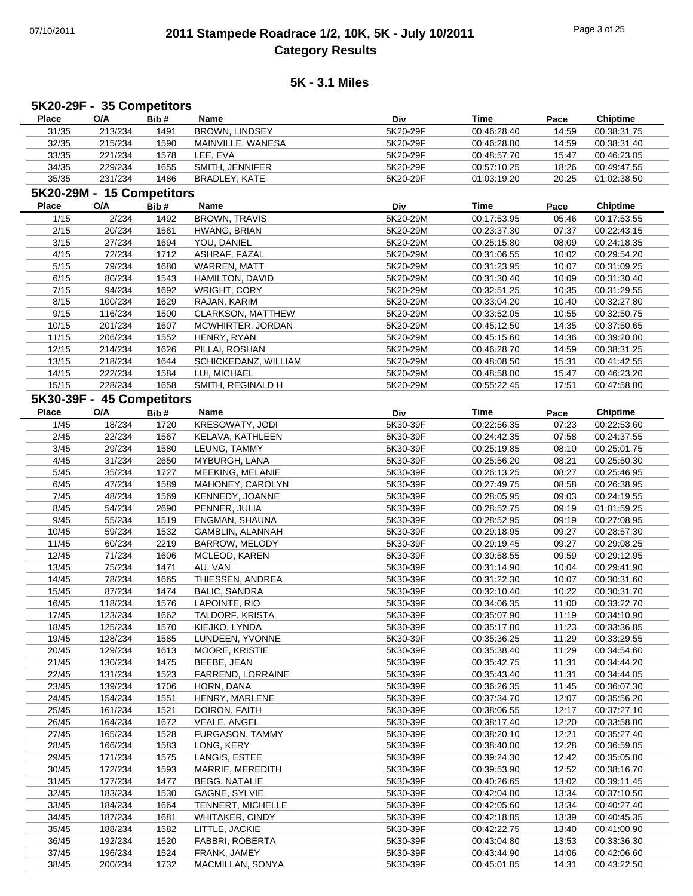# 07/10/2011 **2011 Stampede Roadrace 1/2, 10K, 5K - July 10/2011** Page 3 of 25 **Category Results**

|              | 5K20-29F - 35 Competitors |      |                          |          |             |       |                 |
|--------------|---------------------------|------|--------------------------|----------|-------------|-------|-----------------|
| <b>Place</b> | O/A                       | Bib# | Name                     | Div      | <b>Time</b> | Pace  | <b>Chiptime</b> |
| 31/35        | 213/234                   | 1491 | BROWN, LINDSEY           | 5K20-29F | 00:46:28.40 | 14:59 | 00:38:31.75     |
| 32/35        | 215/234                   | 1590 | MAINVILLE, WANESA        | 5K20-29F | 00:46:28.80 | 14:59 | 00:38:31.40     |
| 33/35        | 221/234                   | 1578 | LEE, EVA                 | 5K20-29F | 00:48:57.70 | 15:47 | 00:46:23.05     |
| 34/35        | 229/234                   | 1655 | SMITH, JENNIFER          | 5K20-29F | 00:57:10.25 | 18:26 | 00:49:47.55     |
| 35/35        | 231/234                   | 1486 | BRADLEY, KATE            | 5K20-29F | 01:03:19.20 | 20:25 | 01:02:38.50     |
|              | 5K20-29M - 15 Competitors |      |                          |          |             |       |                 |
| Place        | O/A                       | Bib# | Name                     | Div      | <b>Time</b> | Pace  | <b>Chiptime</b> |
| 1/15         | 2/234                     | 1492 | <b>BROWN, TRAVIS</b>     | 5K20-29M | 00:17:53.95 | 05:46 | 00:17:53.55     |
|              |                           |      |                          |          |             |       |                 |
| 2/15         | 20/234                    | 1561 | HWANG, BRIAN             | 5K20-29M | 00:23:37.30 | 07:37 | 00:22:43.15     |
| 3/15         | 27/234                    | 1694 | YOU, DANIEL              | 5K20-29M | 00:25:15.80 | 08:09 | 00:24:18.35     |
| 4/15         | 72/234                    | 1712 | ASHRAF, FAZAL            | 5K20-29M | 00:31:06.55 | 10:02 | 00:29:54.20     |
| 5/15         | 79/234                    | 1680 | WARREN, MATT             | 5K20-29M | 00:31:23.95 | 10:07 | 00:31:09.25     |
| 6/15         | 80/234                    | 1543 | HAMILTON, DAVID          | 5K20-29M | 00:31:30.40 | 10:09 | 00:31:30.40     |
| 7/15         | 94/234                    | 1692 | WRIGHT, CORY             | 5K20-29M | 00:32:51.25 | 10:35 | 00:31:29.55     |
| 8/15         | 100/234                   | 1629 | RAJAN, KARIM             | 5K20-29M | 00:33:04.20 | 10:40 | 00:32:27.80     |
| 9/15         | 116/234                   | 1500 | <b>CLARKSON, MATTHEW</b> | 5K20-29M | 00:33:52.05 | 10:55 | 00:32:50.75     |
| 10/15        | 201/234                   | 1607 | MCWHIRTER, JORDAN        | 5K20-29M | 00:45:12.50 | 14:35 | 00:37:50.65     |
| 11/15        | 206/234                   | 1552 | HENRY, RYAN              | 5K20-29M | 00:45:15.60 | 14:36 | 00:39:20.00     |
| 12/15        | 214/234                   | 1626 | PILLAI, ROSHAN           | 5K20-29M | 00:46:28.70 | 14:59 | 00:38:31.25     |
| 13/15        | 218/234                   | 1644 | SCHICKEDANZ, WILLIAM     | 5K20-29M | 00:48:08.50 | 15:31 | 00:41:42.55     |
| 14/15        | 222/234                   | 1584 | LUI, MICHAEL             | 5K20-29M | 00:48:58.00 | 15:47 | 00:46:23.20     |
| 15/15        | 228/234                   | 1658 | SMITH, REGINALD H        | 5K20-29M | 00:55:22.45 | 17:51 | 00:47:58.80     |
|              | 5K30-39F - 45 Competitors |      |                          |          |             |       |                 |
| <b>Place</b> | O/A                       | Bib# | Name                     | Div      | <b>Time</b> | Pace  | <b>Chiptime</b> |
| 1/45         | 18/234                    | 1720 | KRESOWATY, JODI          | 5K30-39F | 00:22:56.35 | 07:23 | 00:22:53.60     |
|              | 22/234                    |      |                          |          |             |       |                 |
| 2/45         |                           | 1567 | KELAVA, KATHLEEN         | 5K30-39F | 00:24:42.35 | 07:58 | 00:24:37.55     |
| 3/45         | 29/234                    | 1580 | LEUNG, TAMMY             | 5K30-39F | 00:25:19.85 | 08:10 | 00:25:01.75     |
| 4/45         | 31/234                    | 2650 | MYBURGH, LANA            | 5K30-39F | 00:25:56.20 | 08:21 | 00:25:50.30     |
| 5/45         | 35/234                    | 1727 | MEEKING, MELANIE         | 5K30-39F | 00:26:13.25 | 08:27 | 00:25:46.95     |
| 6/45         | 47/234                    | 1589 | MAHONEY, CAROLYN         | 5K30-39F | 00:27:49.75 | 08:58 | 00:26:38.95     |
| 7/45         | 48/234                    | 1569 | KENNEDY, JOANNE          | 5K30-39F | 00:28:05.95 | 09:03 | 00:24:19.55     |
| 8/45         | 54/234                    | 2690 | PENNER, JULIA            | 5K30-39F | 00:28:52.75 | 09:19 | 01:01:59.25     |
| 9/45         | 55/234                    | 1519 | ENGMAN, SHAUNA           | 5K30-39F | 00:28:52.95 | 09:19 | 00:27:08.95     |
| 10/45        | 59/234                    | 1532 | GAMBLIN, ALANNAH         | 5K30-39F | 00:29:18.95 | 09:27 | 00:28:57.30     |
| 11/45        | 60/234                    | 2219 | BARROW, MELODY           | 5K30-39F | 00:29:19.45 | 09:27 | 00:29:08.25     |
| 12/45        | 71/234                    | 1606 | MCLEOD, KAREN            | 5K30-39F | 00:30:58.55 | 09:59 | 00:29:12.95     |
| 13/45        | 75/234                    | 1471 | AU, VAN                  | 5K30-39F | 00:31:14.90 | 10:04 | 00:29:41.90     |
| 14/45        | 78/234                    | 1665 | THIESSEN, ANDREA         | 5K30-39F | 00:31:22.30 | 10:07 | 00:30:31.60     |
| 15/45        | 87/234                    | 1474 | <b>BALIC, SANDRA</b>     | 5K30-39F | 00:32:10.40 | 10:22 | 00:30:31.70     |
| 16/45        | 118/234                   | 1576 | LAPOINTE, RIO            | 5K30-39F | 00:34:06.35 | 11:00 | 00:33:22.70     |
| 17/45        | 123/234                   | 1662 | TALDORF, KRISTA          | 5K30-39F | 00:35:07.90 | 11:19 | 00:34:10.90     |
| 18/45        | 125/234                   | 1570 | KIEJKO, LYNDA            | 5K30-39F | 00:35:17.80 | 11:23 | 00:33:36.85     |
| 19/45        | 128/234                   | 1585 | LUNDEEN, YVONNE          | 5K30-39F | 00:35:36.25 | 11:29 | 00:33:29.55     |
| 20/45        | 129/234                   | 1613 | MOORE, KRISTIE           | 5K30-39F | 00:35:38.40 | 11:29 | 00:34:54.60     |
| 21/45        | 130/234                   | 1475 | BEEBE, JEAN              | 5K30-39F | 00:35:42.75 | 11:31 | 00:34:44.20     |
| 22/45        | 131/234                   | 1523 | FARREND, LORRAINE        | 5K30-39F | 00:35:43.40 | 11:31 | 00:34:44.05     |
| 23/45        | 139/234                   | 1706 | HORN, DANA               | 5K30-39F | 00:36:26.35 | 11:45 | 00:36:07.30     |
| 24/45        | 154/234                   | 1551 | HENRY, MARLENE           | 5K30-39F | 00:37:34.70 | 12:07 | 00:35:56.20     |
| 25/45        |                           |      | DOIRON, FAITH            | 5K30-39F | 00:38:06.55 |       | 00:37:27.10     |
|              | 161/234                   | 1521 |                          |          |             | 12:17 |                 |
| 26/45        | 164/234                   | 1672 | VEALE, ANGEL             | 5K30-39F | 00:38:17.40 | 12:20 | 00:33:58.80     |
| 27/45        | 165/234                   | 1528 | FURGASON, TAMMY          | 5K30-39F | 00:38:20.10 | 12:21 | 00:35:27.40     |
| 28/45        | 166/234                   | 1583 | LONG, KERY               | 5K30-39F | 00:38:40.00 | 12:28 | 00:36:59.05     |
| 29/45        | 171/234                   | 1575 | LANGIS, ESTEE            | 5K30-39F | 00:39:24.30 | 12:42 | 00:35:05.80     |
| 30/45        | 172/234                   | 1593 | MARRIE, MEREDITH         | 5K30-39F | 00:39:53.90 | 12:52 | 00:38:16.70     |
| 31/45        | 177/234                   | 1477 | <b>BEGG, NATALIE</b>     | 5K30-39F | 00:40:26.65 | 13:02 | 00:39:11.45     |
| 32/45        | 183/234                   | 1530 | GAGNE, SYLVIE            | 5K30-39F | 00:42:04.80 | 13:34 | 00:37:10.50     |
| 33/45        | 184/234                   | 1664 | TENNERT, MICHELLE        | 5K30-39F | 00:42:05.60 | 13:34 | 00:40:27.40     |
| 34/45        | 187/234                   | 1681 | <b>WHITAKER, CINDY</b>   | 5K30-39F | 00:42:18.85 | 13:39 | 00:40:45.35     |
| 35/45        | 188/234                   | 1582 | LITTLE, JACKIE           | 5K30-39F | 00:42:22.75 | 13:40 | 00:41:00.90     |
| 36/45        | 192/234                   | 1520 | FABBRI, ROBERTA          | 5K30-39F | 00:43:04.80 | 13:53 | 00:33:36.30     |
| 37/45        | 196/234                   | 1524 | FRANK, JAMEY             | 5K30-39F | 00:43:44.90 | 14:06 | 00:42:06.60     |
| 38/45        | 200/234                   | 1732 | MACMILLAN, SONYA         | 5K30-39F | 00:45:01.85 | 14:31 | 00:43:22.50     |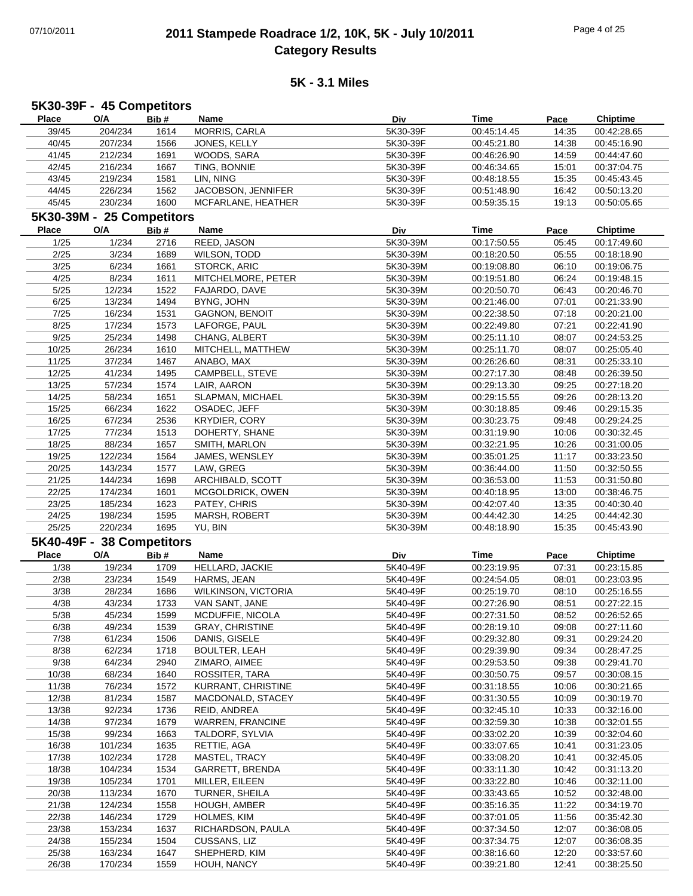# 07/10/2011 **2011 Stampede Roadrace 1/2, 10K, 5K - July 10/2011** Page 4 of 25 **Category Results**

| 5K30-39F - 45 Competitors |                           |              |                                       |                      |                            |                |                            |  |
|---------------------------|---------------------------|--------------|---------------------------------------|----------------------|----------------------------|----------------|----------------------------|--|
| <b>Place</b>              | O/A                       | Bib#         | Name                                  | Div                  | <b>Time</b>                | Pace           | <b>Chiptime</b>            |  |
| 39/45                     | 204/234                   | 1614         | MORRIS, CARLA                         | 5K30-39F             | 00:45:14.45                | 14:35          | 00:42:28.65                |  |
| 40/45                     | 207/234                   | 1566         | JONES, KELLY                          | 5K30-39F             | 00:45:21.80                | 14:38          | 00:45:16.90                |  |
| 41/45                     | 212/234                   | 1691         | WOODS, SARA                           | 5K30-39F             | 00:46:26.90                | 14:59          | 00:44:47.60                |  |
| 42/45                     | 216/234                   | 1667         | TING, BONNIE                          | 5K30-39F             | 00:46:34.65                | 15:01          | 00:37:04.75                |  |
| 43/45                     | 219/234                   | 1581         | LIN, NING                             | 5K30-39F             | 00:48:18.55                | 15:35          | 00:45:43.45                |  |
| 44/45                     | 226/234                   | 1562         | JACOBSON, JENNIFER                    | 5K30-39F             | 00:51:48.90                | 16:42          | 00:50:13.20                |  |
| 45/45                     | 230/234                   | 1600         | MCFARLANE, HEATHER                    | 5K30-39F             | 00:59:35.15                | 19:13          | 00:50:05.65                |  |
|                           | 5K30-39M - 25 Competitors |              |                                       |                      |                            |                |                            |  |
| <b>Place</b>              | $\mathsf{O}/\mathsf{A}$   | Bib#         | Name                                  | Div                  | Time                       | Pace           | <b>Chiptime</b>            |  |
| 1/25                      | 1/234                     | 2716         | REED, JASON                           | 5K30-39M             | 00:17:50.55                | 05:45          | 00:17:49.60                |  |
| 2/25                      | 3/234                     | 1689         | WILSON, TODD                          | 5K30-39M             | 00:18:20.50                | 05:55          | 00:18:18.90                |  |
| 3/25                      | 6/234                     | 1661         | STORCK, ARIC                          | 5K30-39M             | 00:19:08.80                | 06:10          | 00:19:06.75                |  |
| 4/25                      | 8/234                     | 1611         | MITCHELMORE, PETER                    | 5K30-39M             | 00:19:51.80                | 06:24          | 00:19:48.15                |  |
| 5/25                      | 12/234                    | 1522         | FAJARDO, DAVE                         | 5K30-39M             | 00:20:50.70                | 06:43          | 00:20:46.70                |  |
| 6/25                      | 13/234                    | 1494         | BYNG, JOHN                            | 5K30-39M             | 00:21:46.00                | 07:01          | 00:21:33.90                |  |
| 7/25                      | 16/234                    | 1531         | <b>GAGNON, BENOIT</b>                 | 5K30-39M             | 00:22:38.50                | 07:18          | 00:20:21.00                |  |
| 8/25                      | 17/234                    | 1573         | LAFORGE, PAUL                         | 5K30-39M             | 00:22:49.80                | 07:21          | 00:22:41.90                |  |
| 9/25                      | 25/234                    | 1498         | CHANG, ALBERT                         | 5K30-39M             | 00:25:11.10                | 08:07          | 00:24:53.25                |  |
| 10/25                     | 26/234                    | 1610         | MITCHELL, MATTHEW                     | 5K30-39M             | 00:25:11.70                | 08:07          | 00:25:05.40                |  |
| 11/25                     | 37/234                    | 1467         | ANABO, MAX                            | 5K30-39M             | 00:26:26.60                | 08:31          | 00:25:33.10                |  |
| 12/25                     | 41/234                    | 1495         | CAMPBELL, STEVE                       | 5K30-39M             | 00:27:17.30                | 08:48          | 00:26:39.50                |  |
| 13/25                     | 57/234                    | 1574         | LAIR, AARON                           | 5K30-39M             | 00:29:13.30                | 09:25          | 00:27:18.20                |  |
| 14/25                     | 58/234                    | 1651         | SLAPMAN, MICHAEL                      | 5K30-39M             | 00:29:15.55                | 09:26          | 00:28:13.20                |  |
| 15/25                     | 66/234                    | 1622         | OSADEC, JEFF                          | 5K30-39M             | 00:30:18.85                | 09:46          | 00:29:15.35                |  |
| 16/25                     | 67/234                    | 2536         | <b>KRYDIER, CORY</b>                  | 5K30-39M             | 00:30:23.75                | 09:48          | 00:29:24.25                |  |
| 17/25                     | 77/234                    | 1513         | DOHERTY, SHANE                        | 5K30-39M             | 00:31:19.90                | 10:06          | 00:30:32.45                |  |
| 18/25                     | 88/234                    | 1657         | SMITH, MARLON                         | 5K30-39M             | 00:32:21.95                | 10:26          | 00:31:00.05                |  |
| 19/25                     | 122/234                   | 1564         | JAMES, WENSLEY                        | 5K30-39M             | 00:35:01.25                | 11:17          | 00:33:23.50                |  |
| 20/25                     | 143/234                   | 1577         | LAW, GREG                             | 5K30-39M             | 00:36:44.00                | 11:50          | 00:32:50.55                |  |
| 21/25                     | 144/234                   | 1698         | ARCHIBALD, SCOTT                      | 5K30-39M             | 00:36:53.00                | 11:53          | 00:31:50.80                |  |
| 22/25                     | 174/234                   | 1601         | MCGOLDRICK, OWEN                      | 5K30-39M             | 00:40:18.95                | 13:00          | 00:38:46.75                |  |
| 23/25<br>24/25            | 185/234                   | 1623         | PATEY, CHRIS                          | 5K30-39M             | 00:42:07.40                | 13:35          | 00:40:30.40                |  |
| 25/25                     | 198/234<br>220/234        | 1595<br>1695 | MARSH, ROBERT<br>YU, BIN              | 5K30-39M<br>5K30-39M | 00:44:42.30<br>00:48:18.90 | 14:25<br>15:35 | 00:44:42.30<br>00:45:43.90 |  |
|                           |                           |              |                                       |                      |                            |                |                            |  |
|                           | 5K40-49F - 38 Competitors |              |                                       |                      |                            |                |                            |  |
| <b>Place</b>              | O/A                       | Bib#         | Name                                  | Div                  | <b>Time</b>                | Pace           | <b>Chiptime</b>            |  |
| 1/38                      | 19/234                    | 1709         | HELLARD, JACKIE                       | 5K40-49F             | 00:23:19.95                | 07:31          | 00:23:15.85                |  |
| 2/38                      | 23/234                    | 1549         | HARMS, JEAN                           | 5K40-49F             | 00:24:54.05                | 08:01          | 00:23:03.95                |  |
| 3/38                      | 28/234                    | 1686         | WILKINSON, VICTORIA                   | 5K40-49F             | 00:25:19.70                | 08:10          | 00:25:16.55                |  |
| 4/38                      | 43/234                    | 1733         | VAN SANT, JANE                        | 5K40-49F             | 00:27:26.90                | 08:51          | 00:27:22.15                |  |
| 5/38                      | 45/234                    | 1599         | MCDUFFIE, NICOLA                      | 5K40-49F             | 00:27:31.50                | 08:52          | 00:26:52.65                |  |
| 6/38<br>7/38              | 49/234<br>61/234          | 1539<br>1506 | <b>GRAY, CHRISTINE</b>                | 5K40-49F<br>5K40-49F | 00:28:19.10<br>00:29:32.80 | 09:08<br>09:31 | 00:27:11.60<br>00:29:24.20 |  |
| 8/38                      | 62/234                    | 1718         | DANIS, GISELE                         | 5K40-49F             | 00:29:39.90                | 09:34          | 00:28:47.25                |  |
| 9/38                      | 64/234                    | 2940         | <b>BOULTER, LEAH</b><br>ZIMARO, AIMEE | 5K40-49F             | 00:29:53.50                | 09:38          | 00:29:41.70                |  |
| 10/38                     | 68/234                    | 1640         | ROSSITER, TARA                        | 5K40-49F             | 00:30:50.75                | 09:57          | 00:30:08.15                |  |
| 11/38                     | 76/234                    | 1572         | KURRANT, CHRISTINE                    | 5K40-49F             | 00:31:18.55                | 10:06          | 00:30:21.65                |  |
|                           |                           |              | MACDONALD, STACEY                     |                      |                            |                | 00:30:19.70                |  |
|                           |                           |              |                                       |                      |                            |                |                            |  |
| 12/38                     | 81/234                    | 1587         |                                       | 5K40-49F             | 00:31:30.55                | 10:09          |                            |  |
| 13/38                     | 92/234                    | 1736         | REID, ANDREA                          | 5K40-49F             | 00:32:45.10                | 10:33          | 00:32:16.00                |  |
| 14/38                     | 97/234                    | 1679         | WARREN, FRANCINE                      | 5K40-49F             | 00:32:59.30                | 10:38          | 00:32:01.55                |  |
| 15/38                     | 99/234                    | 1663         | TALDORF, SYLVIA                       | 5K40-49F             | 00:33:02.20                | 10:39          | 00:32:04.60                |  |
| 16/38                     | 101/234                   | 1635         | RETTIE, AGA                           | 5K40-49F             | 00:33:07.65                | 10:41          | 00:31:23.05                |  |
| 17/38                     | 102/234                   | 1728         | MASTEL, TRACY                         | 5K40-49F             | 00:33:08.20                | 10:41          | 00:32:45.05                |  |
| 18/38<br>19/38            | 104/234<br>105/234        | 1534<br>1701 | GARRETT, BRENDA<br>MILLER, EILEEN     | 5K40-49F<br>5K40-49F | 00:33:11.30<br>00:33:22.80 | 10:42<br>10:46 | 00:31:13.20<br>00:32:11.00 |  |
| 20/38                     |                           | 1670         | TURNER, SHEILA                        | 5K40-49F             | 00:33:43.65                | 10:52          | 00:32:48.00                |  |
| 21/38                     | 113/234<br>124/234        | 1558         | HOUGH, AMBER                          | 5K40-49F             | 00:35:16.35                | 11:22          | 00:34:19.70                |  |
| 22/38                     | 146/234                   | 1729         | HOLMES, KIM                           | 5K40-49F             | 00:37:01.05                | 11:56          | 00:35:42.30                |  |
| 23/38                     | 153/234                   | 1637         | RICHARDSON, PAULA                     | 5K40-49F             | 00:37:34.50                | 12:07          | 00:36:08.05                |  |
| 24/38                     | 155/234                   | 1504         | CUSSANS, LIZ                          | 5K40-49F             | 00:37:34.75                | 12:07          | 00:36:08.35                |  |
| 25/38                     | 163/234                   | 1647         | SHEPHERD, KIM                         | 5K40-49F             | 00:38:16.60                | 12:20          | 00:33:57.60                |  |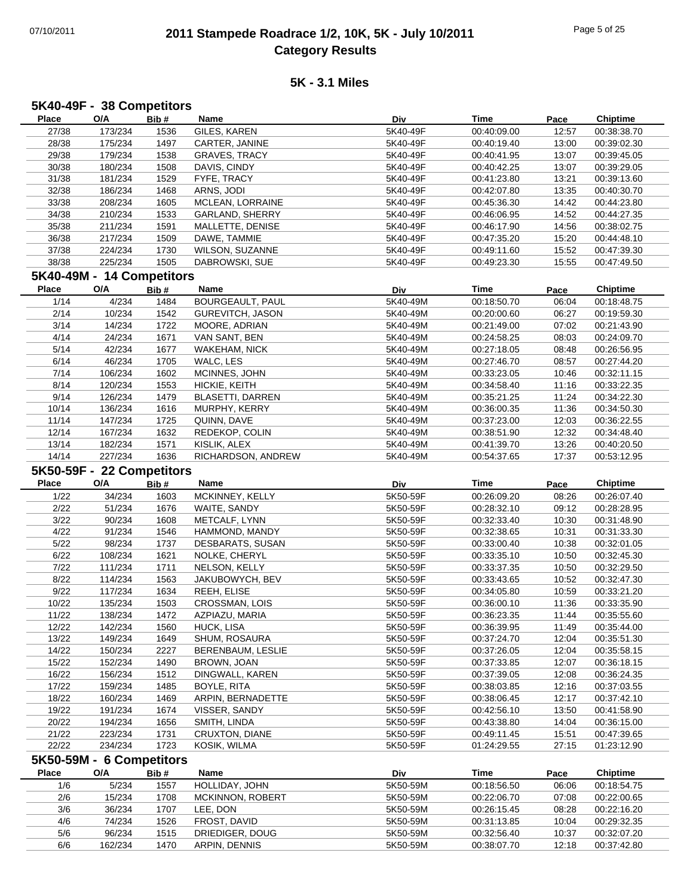### 07/10/2011 **2011 Stampede Roadrace 1/2, 10K, 5K - July 10/2011** Page 5 of 25 **Category Results**

| Place        | O/A                             | Bib#         | Name                             | Div                  | Time                       | Pace           | <b>Chiptime</b>            |
|--------------|---------------------------------|--------------|----------------------------------|----------------------|----------------------------|----------------|----------------------------|
| 27/38        | 173/234                         | 1536         | GILES, KAREN                     | 5K40-49F             | 00:40:09.00                | 12:57          | 00:38:38.70                |
| 28/38        | 175/234                         | 1497         | CARTER, JANINE                   | 5K40-49F             | 00:40:19.40                | 13:00          | 00:39:02.30                |
| 29/38        | 179/234                         | 1538         | <b>GRAVES, TRACY</b>             | 5K40-49F             | 00:40:41.95                | 13:07          | 00:39:45.05                |
| 30/38        | 180/234                         | 1508         | DAVIS, CINDY                     | 5K40-49F             | 00:40:42.25                | 13:07          | 00:39:29.05                |
| 31/38        | 181/234                         | 1529         | FYFE, TRACY                      | 5K40-49F             | 00:41:23.80                | 13:21          | 00:39:13.60                |
| 32/38        | 186/234                         | 1468         | ARNS, JODI                       | 5K40-49F             | 00:42:07.80                | 13:35          | 00:40:30.70                |
| 33/38        | 208/234                         | 1605         | MCLEAN, LORRAINE                 | 5K40-49F             | 00:45:36.30                | 14:42          | 00:44:23.80                |
| 34/38        | 210/234                         | 1533         | GARLAND, SHERRY                  | 5K40-49F             | 00:46:06.95                | 14:52          | 00:44:27.35                |
| 35/38        | 211/234                         | 1591         | MALLETTE, DENISE                 | 5K40-49F             | 00:46:17.90                | 14:56          | 00:38:02.75                |
| 36/38        | 217/234                         | 1509         | DAWE, TAMMIE                     | 5K40-49F             | 00:47:35.20                | 15:20          | 00:44:48.10                |
| 37/38        | 224/234                         | 1730         | WILSON, SUZANNE                  | 5K40-49F             | 00:49:11.60                | 15:52          | 00:47:39.30                |
| 38/38        | 225/234                         | 1505         | DABROWSKI, SUE                   | 5K40-49F             | 00:49:23.30                | 15:55          | 00:47:49.50                |
|              | 5K40-49M - 14 Competitors       |              |                                  |                      |                            |                |                            |
|              |                                 |              |                                  |                      |                            |                |                            |
| <b>Place</b> | O/A                             | Bib#         | Name                             | Div                  | <b>Time</b>                | Pace           | <b>Chiptime</b>            |
| 1/14         | 4/234                           | 1484         | <b>BOURGEAULT, PAUL</b>          | 5K40-49M             | 00:18:50.70                | 06:04          | 00:18:48.75                |
| 2/14         | 10/234                          | 1542         | <b>GUREVITCH, JASON</b>          | 5K40-49M             | 00:20:00.60                | 06:27          | 00:19:59.30                |
| 3/14         | 14/234                          | 1722         | MOORE, ADRIAN                    | 5K40-49M             | 00:21:49.00                | 07:02          | 00:21:43.90                |
| 4/14         | 24/234                          | 1671         | VAN SANT, BEN                    | 5K40-49M             | 00:24:58.25                | 08:03          | 00:24:09.70                |
| 5/14         | 42/234                          | 1677         | <b>WAKEHAM, NICK</b>             | 5K40-49M             | 00:27:18.05                | 08:48          | 00:26:56.95                |
| 6/14         | 46/234                          | 1705         | WALC, LES                        | 5K40-49M             | 00:27:46.70                | 08:57          | 00:27:44.20                |
| 7/14         | 106/234                         | 1602         | MCINNES, JOHN                    | 5K40-49M             | 00:33:23.05                | 10:46          | 00:32:11.15                |
| 8/14         | 120/234                         | 1553         | HICKIE, KEITH                    | 5K40-49M             | 00:34:58.40                | 11:16          | 00:33:22.35                |
| 9/14         | 126/234                         | 1479         | <b>BLASETTI, DARREN</b>          | 5K40-49M             | 00:35:21.25                | 11:24          | 00:34:22.30                |
| 10/14        | 136/234                         | 1616         | MURPHY, KERRY                    | 5K40-49M             | 00:36:00.35                | 11:36          | 00:34:50.30                |
| 11/14        | 147/234                         | 1725         | QUINN, DAVE                      | 5K40-49M             | 00:37:23.00                | 12:03          | 00:36:22.55                |
| 12/14        | 167/234                         | 1632         | REDEKOP, COLIN                   | 5K40-49M             | 00:38:51.90                | 12:32          | 00:34:48.40                |
| 13/14        | 182/234                         | 1571         | KISLIK, ALEX                     | 5K40-49M             | 00:41:39.70                | 13:26          | 00:40:20.50                |
| 14/14        | 227/234                         | 1636         | RICHARDSON, ANDREW               | 5K40-49M             | 00:54:37.65                | 17:37          | 00:53:12.95                |
|              | 5K50-59F - 22 Competitors       |              |                                  |                      |                            |                |                            |
| <b>Place</b> | O/A                             | Bib#         | Name                             | Div                  | <b>Time</b>                | Pace           | <b>Chiptime</b>            |
| 1/22         | 34/234                          | 1603         | MCKINNEY, KELLY                  | 5K50-59F             | 00:26:09.20                | 08:26          | 00:26:07.40                |
| 2/22         | 51/234                          | 1676         | WAITE, SANDY                     | 5K50-59F             | 00:28:32.10                | 09:12          | 00:28:28.95                |
|              |                                 |              |                                  |                      |                            |                |                            |
|              |                                 |              |                                  |                      |                            |                |                            |
| 3/22         | 90/234                          | 1608         | METCALF, LYNN                    | 5K50-59F             | 00:32:33.40                | 10:30          | 00:31:48.90                |
| 4/22         | 91/234                          | 1546         | HAMMOND, MANDY                   | 5K50-59F             | 00:32:38.65                | 10:31          | 00:31:33.30                |
| 5/22         | 98/234                          | 1737         | DESBARATS, SUSAN                 | 5K50-59F             | 00:33:00.40                | 10:38          | 00:32:01.05                |
| 6/22         | 108/234                         | 1621         | NOLKE, CHERYL                    | 5K50-59F             | 00:33:35.10                | 10:50          | 00:32:45.30                |
| 7/22         | 111/234                         | 1711         | NELSON, KELLY                    | 5K50-59F             | 00:33:37.35                | 10:50          | 00:32:29.50                |
| 8/22         | 114/234                         | 1563         | JAKUBOWYCH, BEV                  | 5K50-59F             | 00:33:43.65                | 10:52          | 00:32:47.30                |
| 9/22         | 117/234                         | 1634         | REEH, ELISE                      | 5K50-59F             | 00:34:05.80                | 10:59          | 00:33:21.20                |
| 10/22        | 135/234                         | 1503         | CROSSMAN, LOIS                   | 5K50-59F             | 00:36:00.10                | 11:36          | 00:33:35.90                |
| 11/22        | 138/234                         | 1472         | AZPIAZU, MARIA                   | 5K50-59F             | 00:36:23.35                | 11:44          | 00:35:55.60                |
| 12/22        | 142/234                         | 1560         | HUCK, LISA                       | 5K50-59F             | 00:36:39.95                | 11:49          | 00:35:44.00                |
| 13/22        | 149/234                         | 1649         | SHUM, ROSAURA                    | 5K50-59F             | 00:37:24.70                | 12:04          | 00:35:51.30                |
| 14/22        | 150/234                         | 2227         | BERENBAUM, LESLIE                | 5K50-59F             | 00:37:26.05                | 12:04          | 00:35:58.15                |
| 15/22        | 152/234                         | 1490         | BROWN, JOAN                      | 5K50-59F             | 00:37:33.85                | 12:07          | 00:36:18.15                |
| 16/22        | 156/234                         | 1512         | DINGWALL, KAREN                  | 5K50-59F             | 00:37:39.05                | 12:08          | 00:36:24.35                |
| 17/22        | 159/234                         | 1485         | BOYLE, RITA                      | 5K50-59F             | 00:38:03.85                | 12:16          | 00:37:03.55                |
| 18/22        | 160/234                         | 1469         | ARPIN, BERNADETTE                | 5K50-59F             | 00:38:06.45                | 12:17          | 00:37:42.10                |
| 19/22        | 191/234                         | 1674         | VISSER, SANDY                    | 5K50-59F             | 00:42:56.10                | 13:50          | 00:41:58.90                |
| 20/22        | 194/234                         | 1656         | SMITH, LINDA                     | 5K50-59F             | 00:43:38.80                | 14:04          | 00:36:15.00                |
| 21/22        | 223/234                         | 1731         | CRUXTON, DIANE                   | 5K50-59F             | 00:49:11.45                | 15:51          | 00:47:39.65                |
| 22/22        | 234/234                         | 1723         | KOSIK, WILMA                     | 5K50-59F             | 01:24:29.55                | 27:15          | 01:23:12.90                |
|              |                                 |              |                                  |                      |                            |                |                            |
| Place        | 5K50-59M - 6 Competitors<br>O/A |              | Name                             |                      |                            |                |                            |
|              |                                 | Bib#         |                                  | <b>Div</b>           | <b>Time</b>                | Pace           | <b>Chiptime</b>            |
| 1/6          | 5/234                           | 1557         | HOLLIDAY, JOHN                   | 5K50-59M             | 00:18:56.50                | 06:06          | 00:18:54.75                |
| 2/6          | 15/234                          | 1708         | MCKINNON, ROBERT                 | 5K50-59M             | 00:22:06.70                | 07:08          | 00:22:00.65                |
| 3/6          | 36/234                          | 1707         | LEE, DON                         | 5K50-59M             | 00:26:15.45                | 08:28          | 00:22:16.20                |
| 4/6          | 74/234                          | 1526         | FROST, DAVID                     | 5K50-59M             | 00:31:13.85                | 10:04          | 00:29:32.35                |
| 5/6<br>6/6   | 96/234<br>162/234               | 1515<br>1470 | DRIEDIGER, DOUG<br>ARPIN, DENNIS | 5K50-59M<br>5K50-59M | 00:32:56.40<br>00:38:07.70 | 10:37<br>12:18 | 00:32:07.20<br>00:37:42.80 |